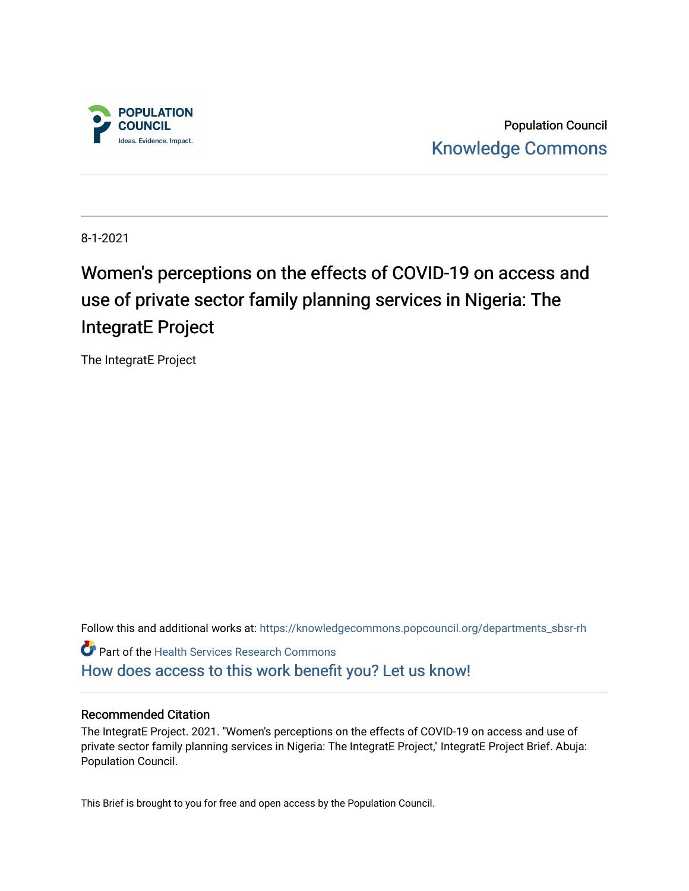

Population Council [Knowledge Commons](https://knowledgecommons.popcouncil.org/) 

8-1-2021

# Women's perceptions on the effects of COVID-19 on access and use of private sector family planning services in Nigeria: The IntegratE Project

The IntegratE Project

Follow this and additional works at: [https://knowledgecommons.popcouncil.org/departments\\_sbsr-rh](https://knowledgecommons.popcouncil.org/departments_sbsr-rh?utm_source=knowledgecommons.popcouncil.org%2Fdepartments_sbsr-rh%2F1648&utm_medium=PDF&utm_campaign=PDFCoverPages)  Part of the [Health Services Research Commons](https://network.bepress.com/hgg/discipline/816?utm_source=knowledgecommons.popcouncil.org%2Fdepartments_sbsr-rh%2F1648&utm_medium=PDF&utm_campaign=PDFCoverPages)  [How does access to this work benefit you? Let us know!](https://pcouncil.wufoo.com/forms/open-access-to-population-council-research/)

#### Recommended Citation

The IntegratE Project. 2021. "Women's perceptions on the effects of COVID-19 on access and use of private sector family planning services in Nigeria: The IntegratE Project," IntegratE Project Brief. Abuja: Population Council.

This Brief is brought to you for free and open access by the Population Council.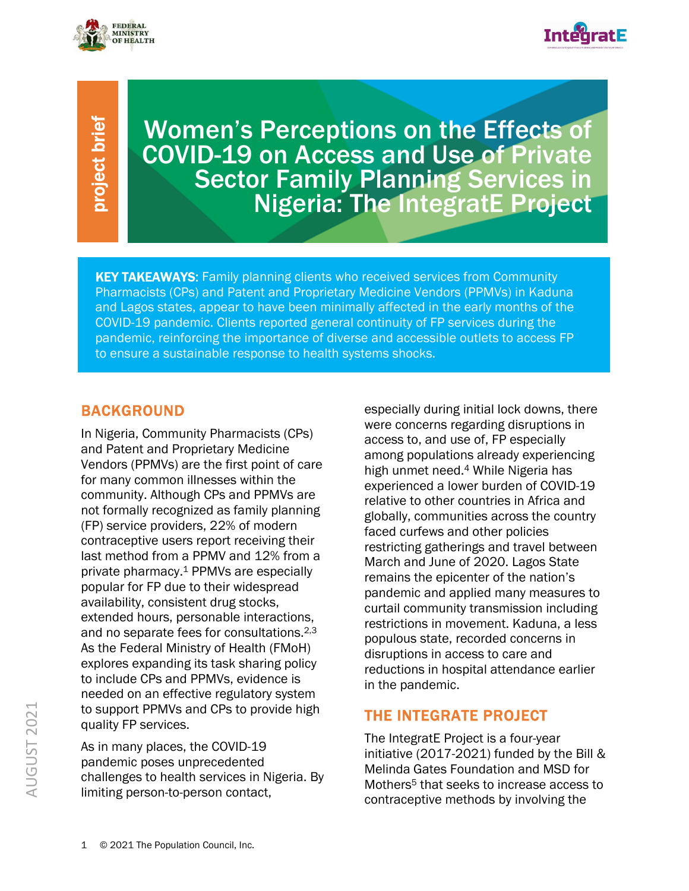

I



Women's Perceptions on the Effects of COVID-19 on Access and Use of Private **Sector Family Planning Services in** Nigeria: The IntegratE Project

**KEY TAKEAWAYS:** Family planning clients who received services from Community Pharmacists (CPs) and Patent and Proprietary Medicine Vendors (PPMVs) in Kaduna and Lagos states, appear to have been minimally affected in the early months of the COVID-19 pandemic. Clients reported general continuity of FP services during the pandemic, reinforcing the importance of diverse and accessible outlets to access FP to ensure a sustainable response to health systems shocks.

# BACKGROUND

AUGUST 2021<br>
August 2021<br>
August 2021<br>
August 2021<br>
August 2021<br>
August 2021<br>
August 2021<br>
August 2021<br>
August 2021<br>
August 2021<br>
August 2021<br>
August 2021<br>
August 2021<br>
August 2021<br>
August 2021<br>
August 2021<br>
August 2021<br>
A In Nigeria, Community Pharmacists (CPs) and Patent and Proprietary Medicine Vendors (PPMVs) are the first point of care for many common illnesses within the community. Although CPs and PPMVs are not formally recognized as family planning (FP) service providers, 22% of modern contraceptive users report receiving their last method from a PPMV and 12% from a private pharmacy.1 PPMVs are especially popular for FP due to their widespread availability, consistent drug stocks, extended hours, personable interactions, and no separate fees for consultations.<sup>2,3</sup> As the Federal Ministry of Health (FMoH) explores expanding its task sharing policy to include CPs and PPMVs, evidence is needed on an effective regulatory system to support PPMVs and CPs to provide high quality FP services.

As in many places, the COVID-19 pandemic poses unprecedented challenges to health services in Nigeria. By limiting person-to-person contact,

especially during initial lock downs, there were concerns regarding disruptions in access to, and use of, FP especially among populations already experiencing high unmet need.4 While Nigeria has experienced a lower burden of COVID-19 relative to other countries in Africa and globally, communities across the country faced curfews and other policies restricting gatherings and travel between March and June of 2020. Lagos State remains the epicenter of the nation's pandemic and applied many measures to curtail community transmission including restrictions in movement. Kaduna, a less populous state, recorded concerns in disruptions in access to care and reductions in hospital attendance earlier in the pandemic.

# THE INTEGRATE PROJECT

The IntegratE Project is a four-year initiative (2017-2021) funded by the Bill & Melinda Gates Foundation and MSD for Mothers<sup>5</sup> that seeks to increase access to contraceptive methods by involving the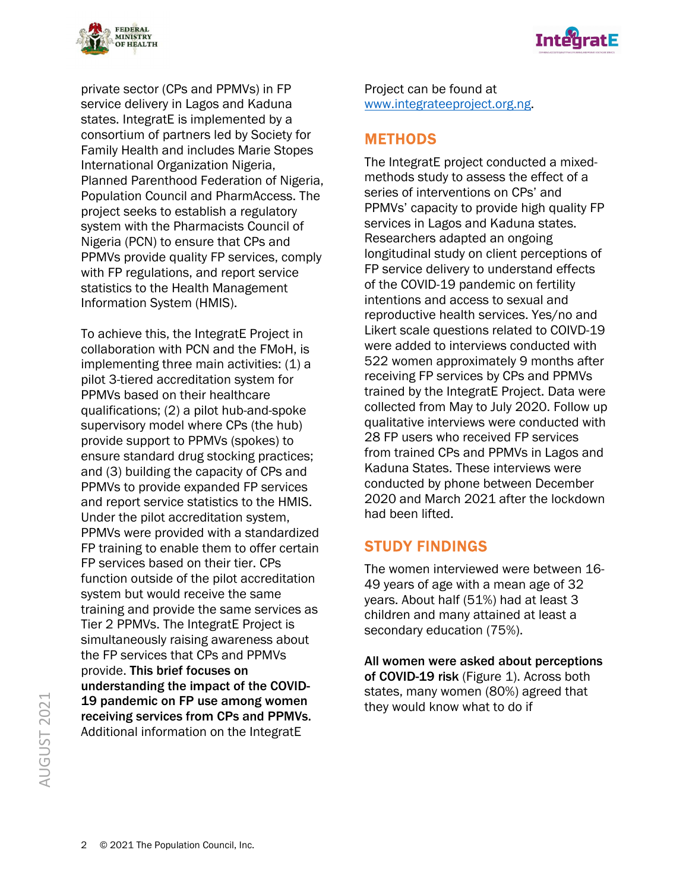



private sector (CPs and PPMVs) in FP service delivery in Lagos and Kaduna states. IntegratE is implemented by a consortium of partners led by Society for Family Health and includes Marie Stopes International Organization Nigeria, Planned Parenthood Federation of Nigeria, Population Council and PharmAccess. The project seeks to establish a regulatory system with the Pharmacists Council of Nigeria (PCN) to ensure that CPs and PPMVs provide quality FP services, comply with FP regulations, and report service statistics to the Health Management Information System (HMIS).

To achieve this, the IntegratE Project in collaboration with PCN and the FMoH, is implementing three main activities: (1) a pilot 3-tiered accreditation system for PPMVs based on their healthcare qualifications; (2) a pilot hub-and-spoke supervisory model where CPs (the hub) provide support to PPMVs (spokes) to ensure standard drug stocking practices; and (3) building the capacity of CPs and PPMVs to provide expanded FP services and report service statistics to the HMIS. Under the pilot accreditation system, PPMVs were provided with a standardized FP training to enable them to offer certain FP services based on their tier. CPs function outside of the pilot accreditation system but would receive the same training and provide the same services as Tier 2 PPMVs. The IntegratE Project is simultaneously raising awareness about the FP services that CPs and PPMVs provide. This brief focuses on understanding the impact of the COVID-19 pandemic on FP use among women receiving services from CPs and PPMVs. Additional information on the IntegratE

Project can be found at www.integrateeproject.org.ng.

# **METHODS**

The IntegratE project conducted a mixedmethods study to assess the effect of a series of interventions on CPs' and PPMVs' capacity to provide high quality FP services in Lagos and Kaduna states. Researchers adapted an ongoing longitudinal study on client perceptions of FP service delivery to understand effects of the COVID-19 pandemic on fertility intentions and access to sexual and reproductive health services. Yes/no and Likert scale questions related to COIVD-19 were added to interviews conducted with 522 women approximately 9 months after receiving FP services by CPs and PPMVs trained by the IntegratE Project. Data were collected from May to July 2020. Follow up qualitative interviews were conducted with 28 FP users who received FP services from trained CPs and PPMVs in Lagos and Kaduna States. These interviews were conducted by phone between December 2020 and March 2021 after the lockdown had been lifted.

# STUDY FINDINGS

The women interviewed were between 16- 49 years of age with a mean age of 32 years. About half (51%) had at least 3 children and many attained at least a secondary education (75%).

All women were asked about perceptions of COVID-19 risk (Figure 1). Across both states, many women (80%) agreed that they would know what to do if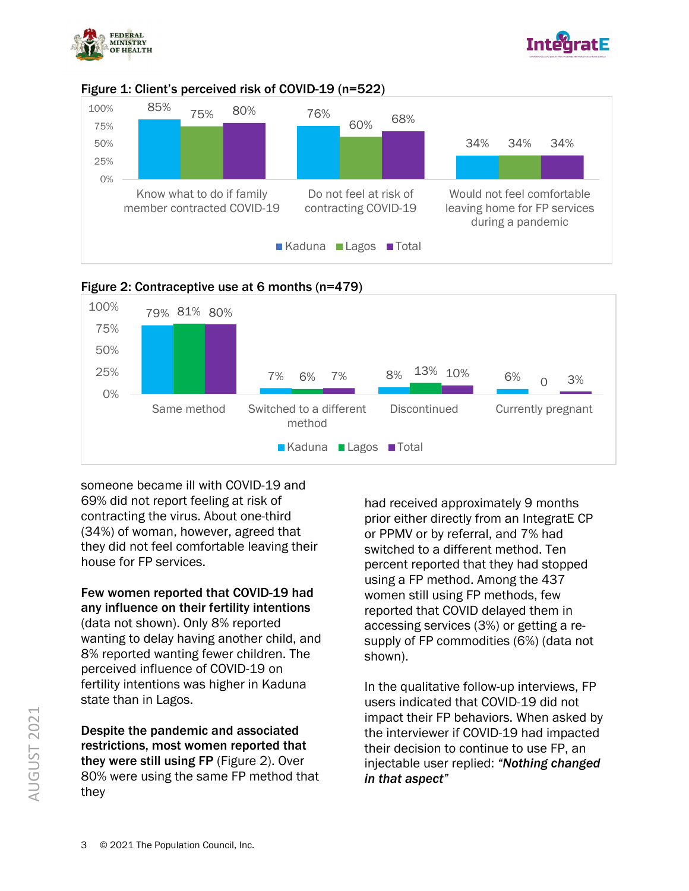







#### Figure 2: Contraceptive use at 6 months (n=479)

someone became ill with COVID-19 and 69% did not report feeling at risk of contracting the virus. About one-third (34%) of woman, however, agreed that they did not feel comfortable leaving their house for FP services.

Few women reported that COVID-19 had any influence on their fertility intentions (data not shown). Only 8% reported wanting to delay having another child, and 8% reported wanting fewer children. The perceived influence of COVID-19 on fertility intentions was higher in Kaduna state than in Lagos.

Despite the pandemic and associated restrictions, most women reported that they were still using FP (Figure 2). Over 80% were using the same FP method that they

had received approximately 9 months prior either directly from an IntegratE CP or PPMV or by referral, and 7% had switched to a different method. Ten percent reported that they had stopped using a FP method. Among the 437 women still using FP methods, few reported that COVID delayed them in accessing services (3%) or getting a resupply of FP commodities (6%) (data not shown).

In the qualitative follow-up interviews, FP users indicated that COVID-19 did not impact their FP behaviors. When asked by the interviewer if COVID-19 had impacted their decision to continue to use FP, an injectable user replied: *"Nothing changed in that aspect"*